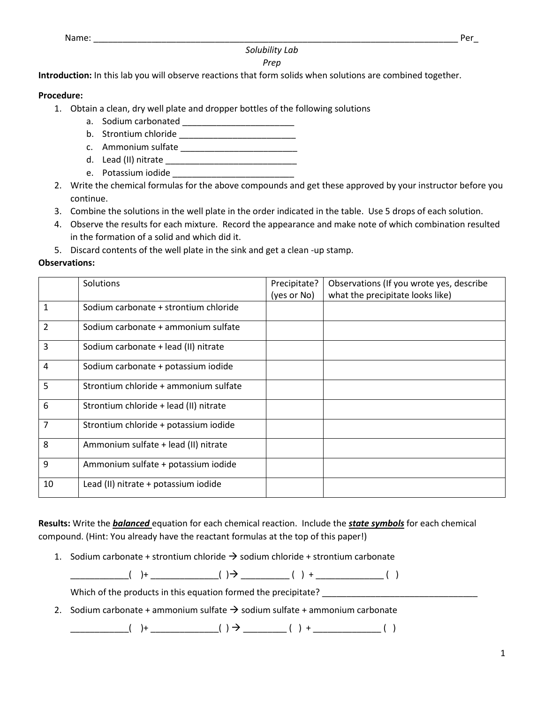Name: \_\_\_\_\_\_\_\_\_\_\_\_\_\_\_\_\_\_\_\_\_\_\_\_\_\_\_\_\_\_\_\_\_\_\_\_\_\_\_\_\_\_\_\_\_\_\_\_\_\_\_\_\_\_\_\_\_\_\_\_\_\_\_\_\_\_\_\_\_\_\_\_\_\_\_ Per\_

## *Solubility Lab*

## *Prep*

**Introduction:** In this lab you will observe reactions that form solids when solutions are combined together.

## **Procedure:**

- 1. Obtain a clean, dry well plate and dropper bottles of the following solutions
	- a. Sodium carbonated \_\_\_\_\_\_\_\_\_\_\_\_\_\_\_\_\_\_\_\_\_\_\_
	- b. Strontium chloride \_\_\_\_\_\_\_\_\_\_\_\_\_\_\_\_\_\_\_\_\_\_\_\_
	- c. Ammonium sulfate \_\_\_\_\_\_\_\_\_\_\_\_\_\_\_\_\_\_\_\_\_\_\_\_
	- d. Lead (II) nitrate
	- e. Potassium iodide
- 2. Write the chemical formulas for the above compounds and get these approved by your instructor before you continue.
- 3. Combine the solutions in the well plate in the order indicated in the table. Use 5 drops of each solution.
- 4. Observe the results for each mixture. Record the appearance and make note of which combination resulted in the formation of a solid and which did it.
- 5. Discard contents of the well plate in the sink and get a clean -up stamp.

## **Observations:**

|                | Solutions                              | Precipitate? | Observations (If you wrote yes, describe |
|----------------|----------------------------------------|--------------|------------------------------------------|
|                |                                        | (yes or No)  | what the precipitate looks like)         |
| $\mathbf{1}$   | Sodium carbonate + strontium chloride  |              |                                          |
| 2              | Sodium carbonate + ammonium sulfate    |              |                                          |
| 3              | Sodium carbonate + lead (II) nitrate   |              |                                          |
| 4              | Sodium carbonate + potassium iodide    |              |                                          |
| 5              | Strontium chloride + ammonium sulfate  |              |                                          |
| 6              | Strontium chloride + lead (II) nitrate |              |                                          |
| $\overline{7}$ | Strontium chloride + potassium iodide  |              |                                          |
| 8              | Ammonium sulfate + lead (II) nitrate   |              |                                          |
| 9              | Ammonium sulfate + potassium iodide    |              |                                          |
| 10             | Lead (II) nitrate + potassium iodide   |              |                                          |

**Results:** Write the *balanced* equation for each chemical reaction. Include the *state symbols* for each chemical compound. (Hint: You already have the reactant formulas at the top of this paper!)

1. Sodium carbonate + strontium chloride  $\rightarrow$  sodium chloride + strontium carbonate

 $\qquad \qquad (+ \qquad \qquad ( ) + \qquad \qquad ( ) \Rightarrow \qquad \qquad ( ) + \qquad \qquad ( )$ 

Which of the products in this equation formed the precipitate?

2. Sodium carbonate + ammonium sulfate  $\rightarrow$  sodium sulfate + ammonium carbonate

 $\begin{pmatrix} + & - & - & - & - \\ - & - & - & - & - \end{pmatrix}$   $\begin{pmatrix} + & - & - & - \\ - & - & - & - \end{pmatrix}$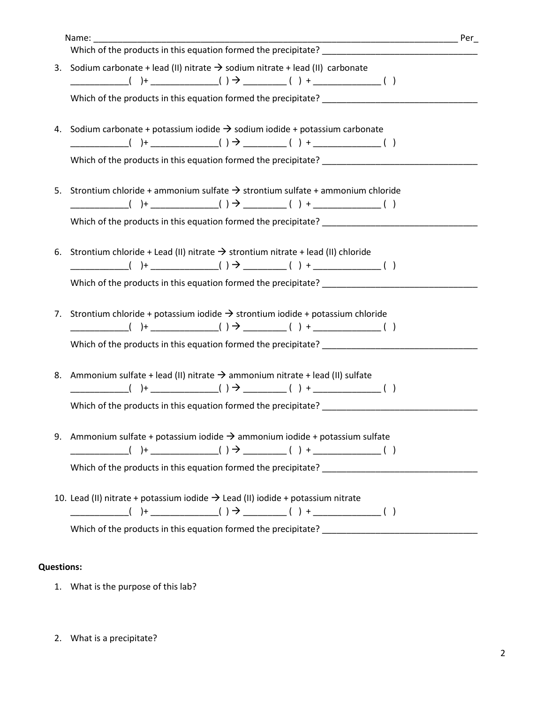| Which of the products in this equation formed the precipitate?                                                                                                                                                                                   |  |
|--------------------------------------------------------------------------------------------------------------------------------------------------------------------------------------------------------------------------------------------------|--|
| 3. Sodium carbonate + lead (II) nitrate $\rightarrow$ sodium nitrate + lead (II) carbonate                                                                                                                                                       |  |
|                                                                                                                                                                                                                                                  |  |
| 4. Sodium carbonate + potassium iodide $\rightarrow$ sodium iodide + potassium carbonate<br>Which of the products in this equation formed the precipitate?                                                                                       |  |
| 5. Strontium chloride + ammonium sulfate $\rightarrow$ strontium sulfate + ammonium chloride                                                                                                                                                     |  |
| 6. Strontium chloride + Lead (II) nitrate $\rightarrow$ strontium nitrate + lead (II) chloride<br>Which of the products in this equation formed the precipitate?                                                                                 |  |
| 7. Strontium chloride + potassium iodide $\rightarrow$ strontium iodide + potassium chloride                                                                                                                                                     |  |
| Which of the products in this equation formed the precipitate? _________________<br>8. Ammonium sulfate + lead (II) nitrate $\rightarrow$ ammonium nitrate + lead (II) sulfate<br>Which of the products in this equation formed the precipitate? |  |
| 9. Ammonium sulfate + potassium iodide $\rightarrow$ ammonium iodide + potassium sulfate                                                                                                                                                         |  |
| 10. Lead (II) nitrate + potassium iodide $\rightarrow$ Lead (II) iodide + potassium nitrate                                                                                                                                                      |  |
|                                                                                                                                                                                                                                                  |  |

- **Questions:** 
	- 1. What is the purpose of this lab?
	- 2. What is a precipitate?